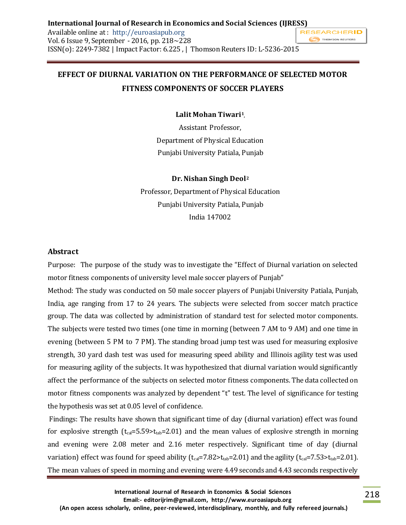## **EFFECT OF DIURNAL VARIATION ON THE PERFORMANCE OF SELECTED MOTOR FITNESS COMPONENTS OF SOCCER PLAYERS**

**Lalit Mohan Tiwari<sup>1</sup> ,**

Assistant Professor, Department of Physical Education Punjabi University Patiala, Punjab

#### **Dr. Nishan Singh Deol<sup>2</sup>**

Professor, Department of Physical Education Punjabi University Patiala, Punjab India 147002

#### **Abstract**

Purpose: The purpose of the study was to investigate the "Effect of Diurnal variation on selected motor fitness components of university level male soccer players of Punjab"

Method: The study was conducted on 50 male soccer players of Punjabi University Patiala, Punjab, India, age ranging from 17 to 24 years. The subjects were selected from soccer match practice group. The data was collected by administration of standard test for selected motor components. The subjects were tested two times (one time in morning (between 7 AM to 9 AM) and one time in evening (between 5 PM to 7 PM). The standing broad jump test was used for measuring explosive strength, 30 yard dash test was used for measuring speed ability and Illinois agility test was used for measuring agility of the subjects. It was hypothesized that diurnal variation would significantly affect the performance of the subjects on selected motor fitness components. The data collected on motor fitness components was analyzed by dependent "t" test. The level of significance for testing the hypothesis was set at 0.05 level of confidence.

Findings: The results have shown that significant time of day (diurnal variation) effect was found for explosive strength ( $t_{cal} = 5.59 > t_{tab} = 2.01$ ) and the mean values of explosive strength in morning and evening were 2.08 meter and 2.16 meter respectively. Significant time of day (diurnal variation) effect was found for speed ability ( $t_{cal} = 7.82 \times t_{tab} = 2.01$ ) and the agility ( $t_{cal} = 7.53 \times t_{tab} = 2.01$ ). The mean values of speed in morning and evening were 4.49 seconds and 4.43 seconds respectively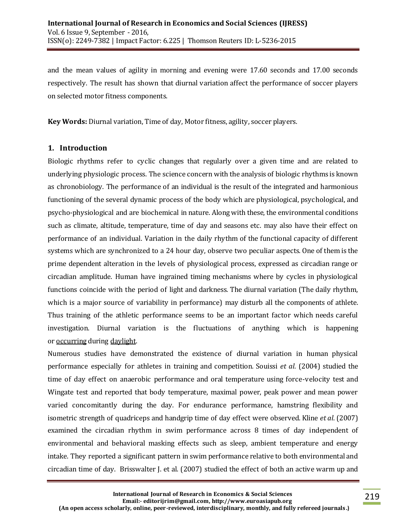and the mean values of agility in morning and evening were 17.60 seconds and 17.00 seconds respectively. The result has shown that diurnal variation affect the performance of soccer players on selected motor fitness components.

**Key Words:** Diurnal variation, Time of day, Motor fitness, agility, soccer players.

#### **1. Introduction**

Biologic rhythms refer to cyclic changes that regularly over a given time and are related to underlying physiologic process. The science concern with the analysis of biologic rhythms is known as chronobiology. The performance of an individual is the result of the integrated and harmonious functioning of the several dynamic process of the body which are physiological, psychological, and psycho-physiological and are biochemical in nature. Along with these, the environmental conditions such as climate, altitude, temperature, time of day and seasons etc. may also have their effect on performance of an individual. Variation in the daily rhythm of the functional capacity of different systems which are synchronized to a 24 hour day, observe two peculiar aspects. One of them is the prime dependent alteration in the levels of physiological process, expressed as circadian range or circadian amplitude. Human have ingrained timing mechanisms where by cycles in physiological functions coincide with the period of light and darkness. The diurnal variation (The daily rhythm, which is a major source of variability in performance) may disturb all the components of athlete. Thus training of the athletic performance seems to be an important factor which needs careful investigation. Diurnal variation is the fluctuations of anything which is happening or [occurring](http://en.wiktionary.org/wiki/occur) during [daylight.](http://en.wiktionary.org/wiki/daylight)

Numerous studies have demonstrated the existence of diurnal variation in human physical performance especially for athletes in training and competition. Souissi *et al*. (2004) studied the time of day effect on anaerobic performance and oral temperature using force-velocity test and Wingate test and reported that body temperature, maximal power, peak power and mean power varied concomitantly during the day. For endurance performance, hamstring flexibility and isometric strength of quadriceps and handgrip time of day effect were observed. Kline *et al*. (2007) examined the circadian rhythm in swim performance across 8 times of day independent of environmental and behavioral masking effects such as sleep, ambient temperature and energy intake. They reported a significant pattern in swim performance relative to both environmental and circadian time of day. Brisswalter J. et al. (2007) studied the effect of both an active warm up and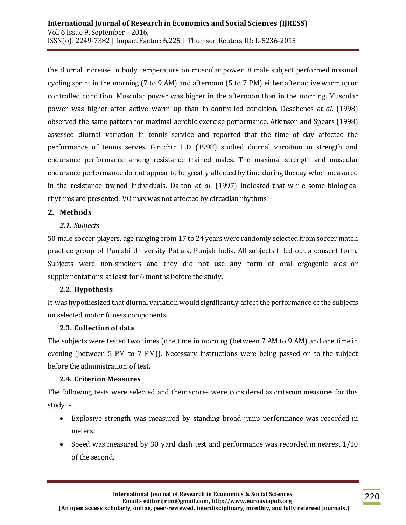the diurnal increase in body temperature on muscular power. 8 male subject performed maximal cycling sprint in the morning (7 to 9 AM) and afternoon (5 to 7 PM) either after active warm up or controlled condition. Muscular power was higher in the afternoon than in the morning. Muscular power was higher after active warm up than in controlled condition. Deschenes *et al*. (1998) observed the same pattern for maximal aerobic exercise performance. Atkinson and Spears (1998) assessed diurnal variation in tennis service and reported that the time of day affected the performance of tennis serves. Gintchin L.D (1998) studied diurnal variation in strength and endurance performance among resistance trained males. The maximal strength and muscular endurance performance do not appear to be greatly affected by time during the day when measured in the resistance trained individuals. Dalton *et al*. (1997) indicated that while some biological rhythms are presented, VO max was not affected by circadian rhythms.

## **2. Methods**

## *2.1. Subjects*

50 male soccer players, age ranging from 17 to 24 years were randomly selected from soccer match practice group of Punjabi University Patiala, Punjab India. All subjects filled out a consent form. Subjects were non-smokers and they did not use any form of oral ergogenic aids or supplementations at least for 6 months before the study.

## **2.2. Hypothesis**

It was hypothesized that diurnal variation would significantly affect the performance of the subjects on selected motor fitness components.

## **2.3. Collection of data**

The subjects were tested two times (one time in morning (between 7 AM to 9 AM) and one time in evening (between 5 PM to 7 PM)). Necessary instructions were being passed on to the subject before the administration of test.

## **2.4. Criterion Measures**

The following tests were selected and their scores were considered as criterion measures for this study: -

- Explosive strength was measured by standing broad jump performance was recorded in meters.
- Speed was measured by 30 yard dash test and performance was recorded in nearest 1/10 of the second.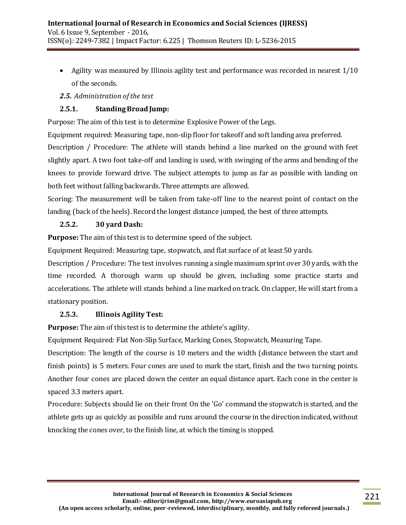- Agility was measured by Illinois agility test and performance was recorded in nearest 1/10 of the seconds.
- *2.5. Administration of the test*

## **2.5.1. Standing Broad Jump:**

Purpose: The aim of this test is to determine Explosive Power of the Legs.

Equipment required: Measuring tape, non-slip floor for takeoff and soft landing area preferred.

Description / Procedure: The athlete will stands behind a line marked on the ground with feet slightly apart. A two foot take-off and landing is used, with swinging of the arms and bending of the knees to provide forward drive. The subject attempts to jump as far as possible with landing on both feet without falling backwards. Three attempts are allowed.

Scoring: The measurement will be taken from take-off line to the nearest point of contact on the landing (back of the heels). Record the longest distance jumped, the best of three attempts.

## **2.5.2. 30 yard Dash:**

**Purpose:** The aim of this test is to determine speed of the subject.

Equipment Required: Measuring tape, stopwatch, and flat surface of at least 50 yards.

Description / Procedure: The test involves running a single maximum sprint over 30 yards, with the time recorded. A thorough warm up should be given, including some practice starts and accelerations. The athlete will stands behind a line marked on track. On clapper, He will start from a stationary position.

## **2.5.3. Illinois Agility Test:**

**Purpose:** The aim of this test is to determine the athlete's agility.

Equipment Required: Flat Non-Slip Surface, Marking Cones, Stopwatch, Measuring Tape.

Description: The length of the course is 10 meters and the width (distance between the start and finish points) is 5 meters. Four cones are used to mark the start, finish and the two turning points. Another four cones are placed down the center an equal distance apart. Each cone in the center is spaced 3.3 meters apart.

Procedure: Subjects should lie on their front On the 'Go' command the stopwatch is started, and the athlete gets up as quickly as possible and runs around the course in the direction indicated, without knocking the cones over, to the finish line, at which the timing is stopped.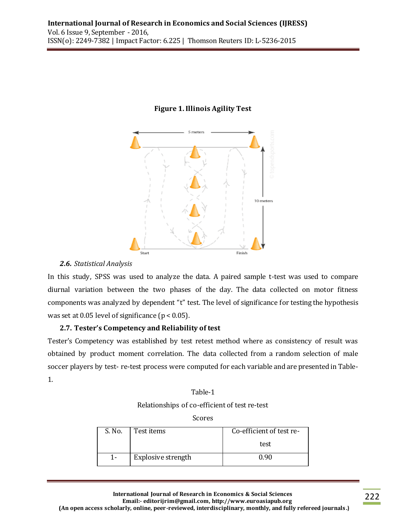

#### **Figure 1. Illinois Agility Test**

#### *2.6. Statistical Analysis*

In this study, SPSS was used to analyze the data. A paired sample t-test was used to compare diurnal variation between the two phases of the day. The data collected on motor fitness components was analyzed by dependent "t" test. The level of significance for testing the hypothesis was set at 0.05 level of significance ( $p < 0.05$ ).

## **2.7. Tester's Competency and Reliability of test**

Tester's Competency was established by test retest method where as consistency of result was obtained by product moment correlation. The data collected from a random selection of male soccer players by test- re-test process were computed for each variable and are presented in Table-1.

#### Table-1

Relationships of co-efficient of test re-test

Scores

| S. No. | Test items         | Co-efficient of test re- |
|--------|--------------------|--------------------------|
|        |                    | test                     |
| 1-     | Explosive strength | 0.90                     |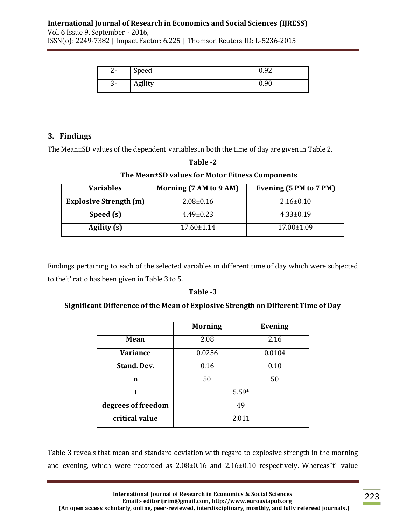## **International Journal of Research in Economics and Social Sciences (IJRESS)**

Vol. 6 Issue 9, September - 2016, ISSN(o): 2249-7382 | Impact Factor: 6.225 | Thomson Reuters ID: L-5236-2015

| ົ<br>z- | Speed   | 0.92 |
|---------|---------|------|
| .ა-     | Agility | 0.90 |

## **3. Findings**

The Mean±SD values of the dependent variables in both the time of day are given in Table 2.

# **Table -2 The Mean±SD values for Motor Fitness Components Variables Morning (7 AM to 9 AM) Evening (5 PM to 7 PM) Explosive Strength (m)** 2.08±0.16 2.16±0.10 **Speed (s)** 4.49±0.23 4.33±0.19 **Agility (s)** 17.60±1.14 17.00±1.09

Findings pertaining to each of the selected variables in different time of day which were subjected to the't' ratio has been given in Table 3 to 5.

## **Table -3**

## **Significant Difference of the Mean of Explosive Strength on Different Time of Day**

|                    | <b>Morning</b> | <b>Evening</b> |
|--------------------|----------------|----------------|
| Mean               | 2.08           | 2.16           |
| Variance           | 0.0256         | 0.0104         |
| <b>Stand. Dev.</b> | 0.16           | 0.10           |
| n                  | 50             | 50             |
| t                  | $5.59*$        |                |
| degrees of freedom | 49             |                |
| critical value     | 2.011          |                |

Table 3 reveals that mean and standard deviation with regard to explosive strength in the morning and evening, which were recorded as 2.08±0.16 and 2.16±0.10 respectively. Whereas"t" value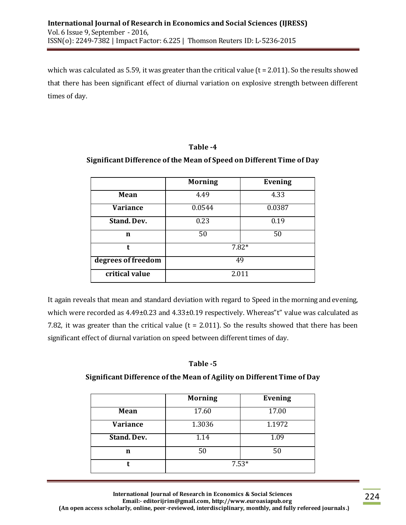which was calculated as 5.59, it was greater than the critical value ( $t = 2.011$ ). So the results showed that there has been significant effect of diurnal variation on explosive strength between different times of day.

#### **Table -4**

## **Significant Difference of the Mean of Speed on Different Time of Day**

|                    | <b>Morning</b> | <b>Evening</b> |
|--------------------|----------------|----------------|
| Mean               | 4.49           | 4.33           |
| Variance           | 0.0544         | 0.0387         |
| <b>Stand. Dev.</b> | 0.23           | 0.19           |
| n                  | 50             | 50             |
| t                  | $7.82*$        |                |
| degrees of freedom | 49             |                |
| critical value     | 2.011          |                |

It again reveals that mean and standard deviation with regard to Speed in the morning and evening, which were recorded as 4.49±0.23 and 4.33±0.19 respectively. Whereas"t" value was calculated as 7.82, it was greater than the critical value ( $t = 2.011$ ). So the results showed that there has been significant effect of diurnal variation on speed between different times of day.

## **Table -5**

## **Significant Difference of the Mean of Agility on Different Time of Day**

|             | <b>Morning</b> | <b>Evening</b> |
|-------------|----------------|----------------|
| Mean        | 17.60          | 17.00          |
| Variance    | 1.3036         | 1.1972         |
| Stand. Dev. | 1.14           | 1.09           |
| n           | 50             | 50             |
|             | $7.53*$        |                |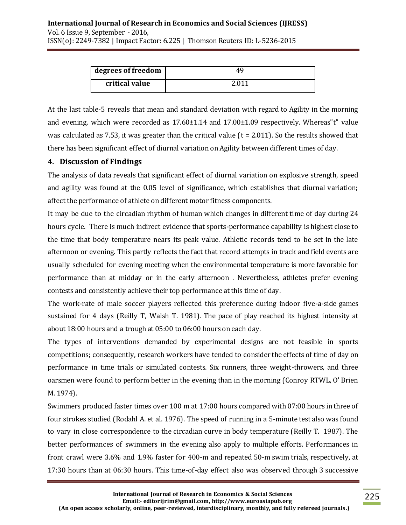| degrees of freedom |       |
|--------------------|-------|
| critical value     | 2 011 |

At the last table-5 reveals that mean and standard deviation with regard to Agility in the morning and evening, which were recorded as  $17.60\pm1.14$  and  $17.00\pm1.09$  respectively. Whereas"t" value was calculated as 7.53, it was greater than the critical value ( $t = 2.011$ ). So the results showed that there has been significant effect of diurnal variation on Agility between different times of day.

## **4. Discussion of Findings**

The analysis of data reveals that significant effect of diurnal variation on explosive strength, speed and agility was found at the 0.05 level of significance, which establishes that diurnal variation; affect the performance of athlete on different motor fitness components.

It may be due to the circadian rhythm of human which changes in different time of day during 24 hours cycle. There is much indirect evidence that sports-performance capability is highest close to the time that body temperature nears its peak value. Athletic records tend to be set in the late afternoon or evening. This partly reflects the fact that record attempts in track and field events are usually scheduled for evening meeting when the environmental temperature is more favorable for performance than at midday or in the early afternoon . Nevertheless, athletes prefer evening contests and consistently achieve their top performance at this time of day.

The work-rate of male soccer players reflected this preference during indoor five-a-side games sustained for 4 days (Reilly T, Walsh T. 1981). The pace of play reached its highest intensity at about 18:00 hours and a trough at 05:00 to 06:00 hours on each day.

The types of interventions demanded by experimental designs are not feasible in sports competitions; consequently, research workers have tended to consider the effects of time of day on performance in time trials or simulated contests. Six runners, three weight-throwers, and three oarsmen were found to perform better in the evening than in the morning (Conroy RTWL, O' Brien M. 1974).

Swimmers produced faster times over 100 m at 17:00 hours compared with 07:00 hours in three of four strokes studied (Rodahl A. et al. 1976). The speed of running in a 5-minute test also was found to vary in close correspondence to the circadian curve in body temperature (Reilly T. 1987). The better performances of swimmers in the evening also apply to multiple efforts. Performances in front crawl were 3.6% and 1.9% faster for 400-m and repeated 50-m swim trials, respectively, at 17:30 hours than at 06:30 hours. This time-of-day effect also was observed through 3 successive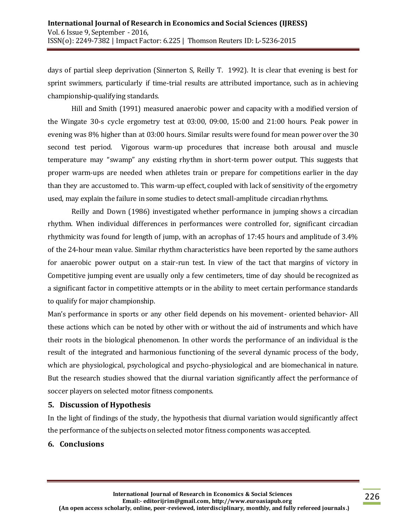days of partial sleep deprivation (Sinnerton S, Reilly T. 1992). It is clear that evening is best for sprint swimmers, particularly if time-trial results are attributed importance, such as in achieving championship-qualifying standards.

Hill and Smith (1991) measured anaerobic power and capacity with a modified version of the Wingate 30-s cycle ergometry test at 03:00, 09:00, 15:00 and 21:00 hours. Peak power in evening was 8% higher than at 03:00 hours. Similar results were found for mean power over the 30 second test period. Vigorous warm-up procedures that increase both arousal and muscle temperature may "swamp" any existing rhythm in short-term power output. This suggests that proper warm-ups are needed when athletes train or prepare for competitions earlier in the day than they are accustomed to. This warm-up effect, coupled with lack of sensitivity of the ergometry used, may explain the failure in some studies to detect small-amplitude circadian rhythms.

Reilly and Down (1986) investigated whether performance in jumping shows a circadian rhythm. When individual differences in performances were controlled for, significant circadian rhythmicity was found for length of jump, with an acrophas of 17:45 hours and amplitude of 3.4% of the 24-hour mean value. Similar rhythm characteristics have been reported by the same authors for anaerobic power output on a stair-run test. In view of the tact that margins of victory in Competitive jumping event are usually only a few centimeters, time of day should be recognized as a significant factor in competitive attempts or in the ability to meet certain performance standards to qualify for major championship.

Man's performance in sports or any other field depends on his movement- oriented behavior- All these actions which can be noted by other with or without the aid of instruments and which have their roots in the biological phenomenon. In other words the performance of an individual is the result of the integrated and harmonious functioning of the several dynamic process of the body, which are physiological, psychological and psycho-physiological and are biomechanical in nature. But the research studies showed that the diurnal variation significantly affect the performance of soccer players on selected motor fitness components.

## **5. Discussion of Hypothesis**

In the light of findings of the study, the hypothesis that diurnal variation would significantly affect the performance of the subjects on selected motor fitness components was accepted.

## **6. Conclusions**